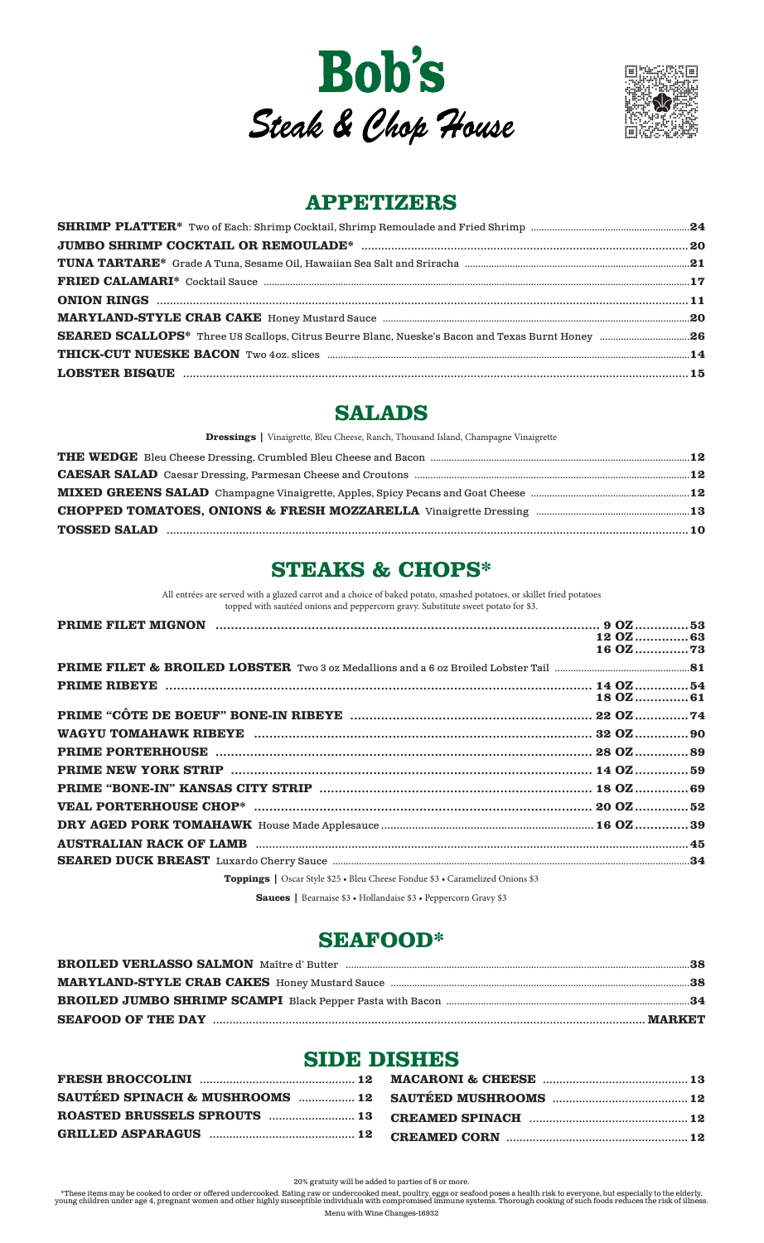



# **APPETIZERS**

# **SALADS**

Dressings | Vinaigrette, Bleu Cheese, Ranch, Thousand Island, Champagne Vinaigrette

# **STEAKS & CHOPS\***

All entrées are served with a glazed carrot and a choice of baked potato, smashed potatoes, or skillet fried potatoes topped with sautéed onions and peppercorn gravy. Substitute sweet potato for \$3.

|                                                                                      | 12 OZ 63<br>16 OZ73<br>$180Z$ 61 |
|--------------------------------------------------------------------------------------|----------------------------------|
|                                                                                      |                                  |
|                                                                                      |                                  |
|                                                                                      |                                  |
|                                                                                      |                                  |
|                                                                                      |                                  |
|                                                                                      |                                  |
|                                                                                      |                                  |
|                                                                                      |                                  |
|                                                                                      |                                  |
|                                                                                      |                                  |
|                                                                                      |                                  |
|                                                                                      |                                  |
|                                                                                      |                                  |
|                                                                                      |                                  |
| <b>Toppings</b>   Oscar Style \$25 • Bleu Cheese Fondue \$3 • Caramelized Onions \$3 |                                  |

Sauces | Bearnaise \$3 · Hollandaise \$3 · Peppercorn Gravy \$3

# **SEAFOOD\***

| BROILED VERLASSO SALMON Maître d' Butter manument autonoment aux manument aux 38 |  |
|----------------------------------------------------------------------------------|--|
|                                                                                  |  |
|                                                                                  |  |
|                                                                                  |  |

# **SIDE DISHES**

| GRILLED ASPARAGUS  manufacture 12 CREAMED CORN  TORILLED ASPARAGUS  12 |  |
|------------------------------------------------------------------------|--|

20% gratuity will be added to parties of 8 or more.

\*These items may be cooked to order or offered undercooked. Eating raw or undercooked meat, poultry, eggs or seafood poses a health risk to everyone, but especially to the elderly, young children under age 4, pregnant wome